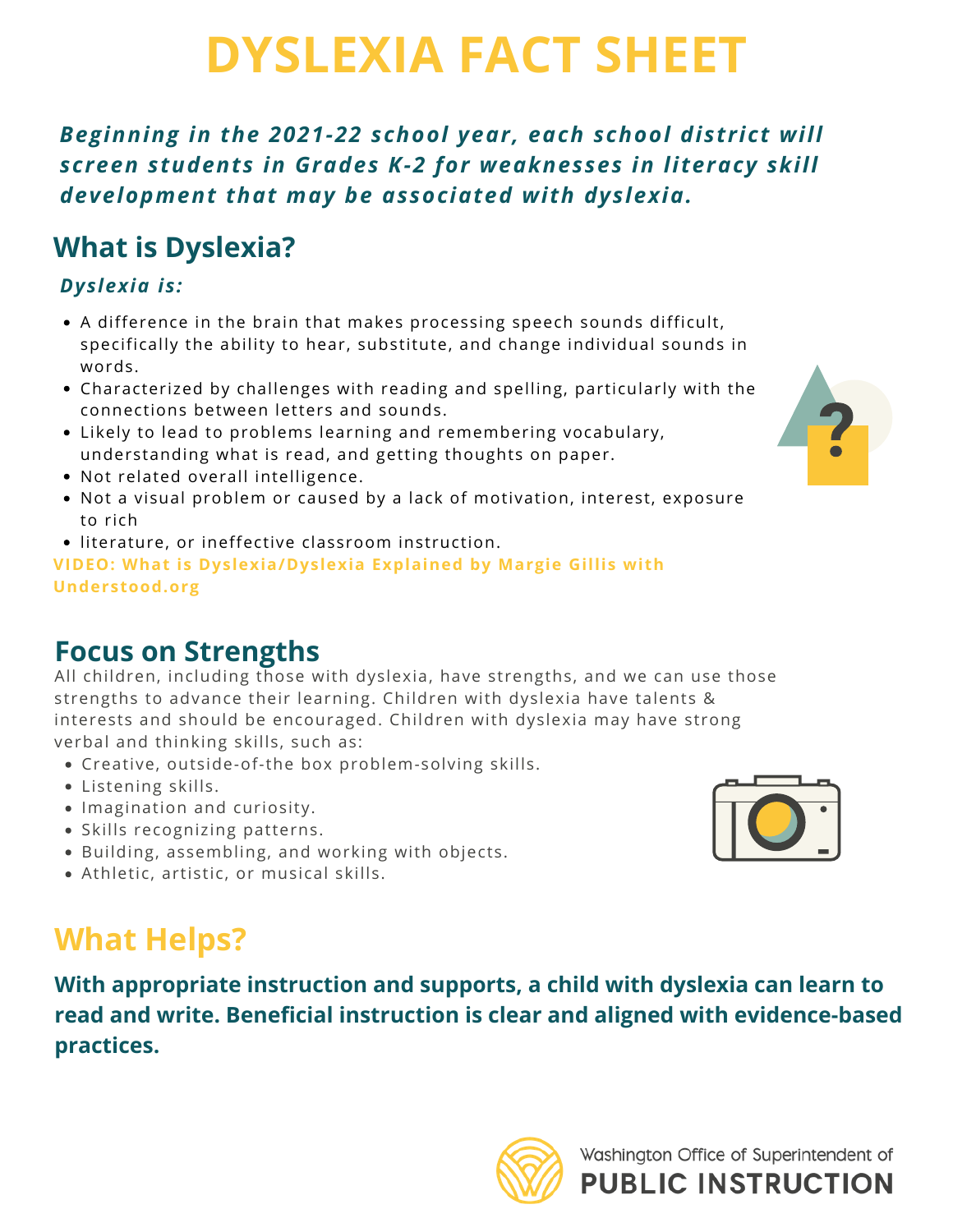# **DYSLEXIA FACT SHEET**

 *Beginning in the 2021-22 school year, each school district will screen students in Grades K-2 for weaknesses in literacy skill development that may be associated with dyslexia.*

## **What is Dyslexia?**

### *Dyslexia is:*

- A difference in the brain that makes processing speech sounds difficult, specifically the ability to hear, substitute, and change individual sounds in words.
- Characterized by challenges with reading and spelling, particularly with the connections between letters and sounds.
- Likely to lead to problems learning and remembering vocabulary, understanding what is read, and getting thoughts on paper.
- Not related overall intelligence.
- Not a visual problem or caused by a lack of motivation, interest, exposure to rich
- literature, or ineffective classroom instruction.

 **VIDEO: What is [Dyslexia/Dyslexia](https://www.youtube.com/watch?v=kE3DqJP-nkI) Explained by Margie Gillis with [Understood.org](https://Understood.org)**

## **Focus on Strengths**

 All children, including those with dyslexia, have strengths, and we can use those strengths to advance their learning. Children with dyslexia have talents & interests and should be encouraged. Children with dyslexia may have strong verbal and thinking skills, such as:

- Creative, outside-of-the box problem-solving skills.
- Listening skills.
- Imagination and curiosity.
- Skills recognizing patterns.
- Building, assembling, and working with objects.
- Athletic, artistic, or musical skills.

## **What Helps?**

 **With appropriate instruction and supports, a child with dyslexia can learn to read and write. Beneficial instruction is clear and aligned with evidence-based practices.**





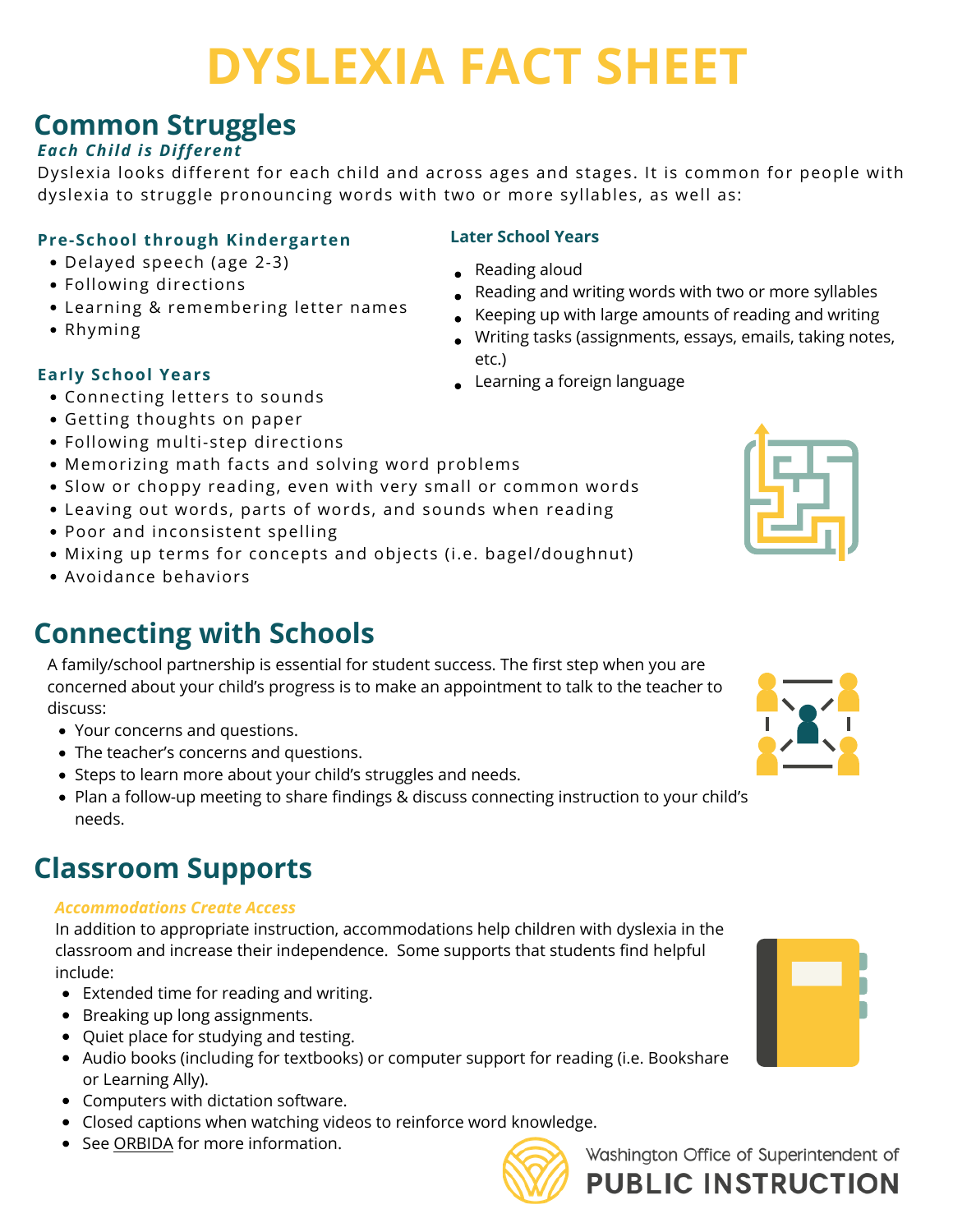# **DYSLEXIA FACT SHEET**

## **Common Struggles**

#### *Each Child is Different*

 Dyslexia looks different for each child and across ages and stages. It is common for people with dyslexia to struggle pronouncing words with two or more syllables, as well as:

#### **Pre-School through Kindergarten Later School Years**

- Delayed speech (age 2-3) Reading aloud
- 
- Learning & remembering letter names
- 

#### **Early School Years**

- **Early School Years Connecting letters to sounds Connecting letters to sounds** 
	- Getting thoughts on paper
	- Following multi-step directions
	- Memorizing math facts and solving word problems
	- Slow or choppy reading, even with very small or common words
	- Leaving out words, parts of words, and sounds when reading
	- Poor and inconsistent spelling
	- Mixing up terms for concepts and objects (i.e. bagel/doughnut)
	- Avoidance behaviors

## **Connecting with Schools**

 A family/school partnership is essential for student success. The first step when you are concerned about your child's progress is to make an appointment to talk to the teacher to discuss:

- Your concerns and questions.
- The teacher's concerns and questions.
- Steps to learn more about your child's struggles and needs.
- Plan a follow-up meeting to share findings & discuss connecting instruction to your child's needs.

### **Classroom Supports**

#### *Accommodations Create Access*

 In addition to appropriate instruction, accommodations help children with dyslexia in the classroom and increase their independence. Some supports that students find helpful include:

- Extended time for reading and writing.
- Breaking up long assignments.
- Quiet place for studying and testing.
- Audio books (including for textbooks) or computer support for reading (i.e. Bookshare or Learning Ally).
- Computers with dictation software.
- Closed captions when watching videos to reinforce word knowledge.
- See <u>[ORBIDA](https://or.dyslexiaida.org/)</u> for more information.

- 
- Reading and writing words with two or more syllables • Following directions<br>• Learning & remembering letter names<br>• Rhyming<br>• Rhyming
	-
	- . Writing tasks (assignments, essays, emails, taking notes, etc.)
	- Learning a foreign language









Washington Office of Superintendent of **PUBLIC INSTRUCTION**